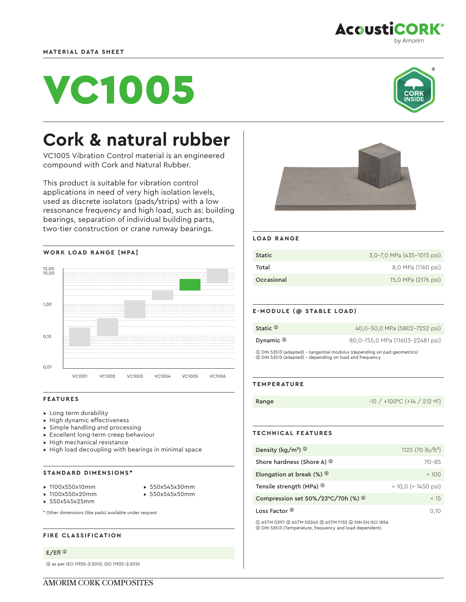



by Amorim

**AcoustiCORK®** 

# **Cork & natural rubber**

VC1005 Vibration Control material is an engineered compound with Cork and Natural Rubber.

This product is suitable for vibration control applications in need of very high isolation levels, used as discrete isolators (pads/strips) with a low ressonance frequency and high load, such as: building bearings, separation of individual building parts, two-tier construction or crane runway bearings.



## **FEATURES**

- ▸ Long term durability
- ▸ High dynamic effectiveness
- ▸ Simple handling and processing
- ▸ Excellent long-term creep behaviour
- ▸ High mechanical resistance
- ▸ High load decoupling with bearings in minimal space

## **STANDARD DIMENSIONS\***

- ▸ 1100x550x10mm
- ▸ 550x545x30mm
- ▸ 1100x550x20mm
- 
- 
- ▸ 550x545x50mm
- ▸ 550x545x25mm
- \* Other dimensions (like pads) available under request

## **FIRE CLASSIFICATION**

# E/Efl ➀

➀ as per ISO 11925-2:2010; ISO 11925-2:2010



## **LOAD RANGE**

| <b>Static</b> | 3,0-7,0 MPa (435-1015 psi) |
|---------------|----------------------------|
| Total         | 8,0 MPa (1160 psi)         |
| Occasional    | 15,0 MPa (2176 psi)        |

## **E-MODULE (@ STABLE LOAD)**

| Static $\Phi$                                                                                                                       | 40,0-50,0 MPa (5802-7252 psi)    |
|-------------------------------------------------------------------------------------------------------------------------------------|----------------------------------|
|                                                                                                                                     |                                  |
| Dynamic $\circledcirc$                                                                                                              | 80,0-155,0 MPa (11603-22481 psi) |
| 1 DIN 53513 (adapted) – tangential modulus (depending on pad geometrics)<br>2 DIN 53513 (adapted) - depending on load and frequency |                                  |

#### **TEMPERATURE**

Range -10 / +100 °C (+14 / 212 °F)

# **TECHNICAL FEATURES**

| Density ( $\text{kg/m}^3$ ) $\textcircled{1}$             | 1125 (70 $\frac{1}{2}$ b/ft <sup>3</sup> ) |
|-----------------------------------------------------------|--------------------------------------------|
| Shore hardness (Shore A) <sup>2</sup>                     | $70 - 85$                                  |
| Elongation at break $(\%)$ <sup>3</sup>                   | >100                                       |
| Tensile strength (MPa) <sup>3</sup>                       | $> 10.0$ ( $> 1450$ psi)                   |
| Compression set $50\%/23^{\circ}C/70h$ (%) $\circledcirc$ | < 15                                       |
| Loss Factor ®                                             | 0.10                                       |

➀ ASTM D297 ➁ ASTM D2240 ➂ ASTM F152 ➃ DIN EN ISO 1856 ➄ DIN 53513 (Temperature, frequency and load dependent)